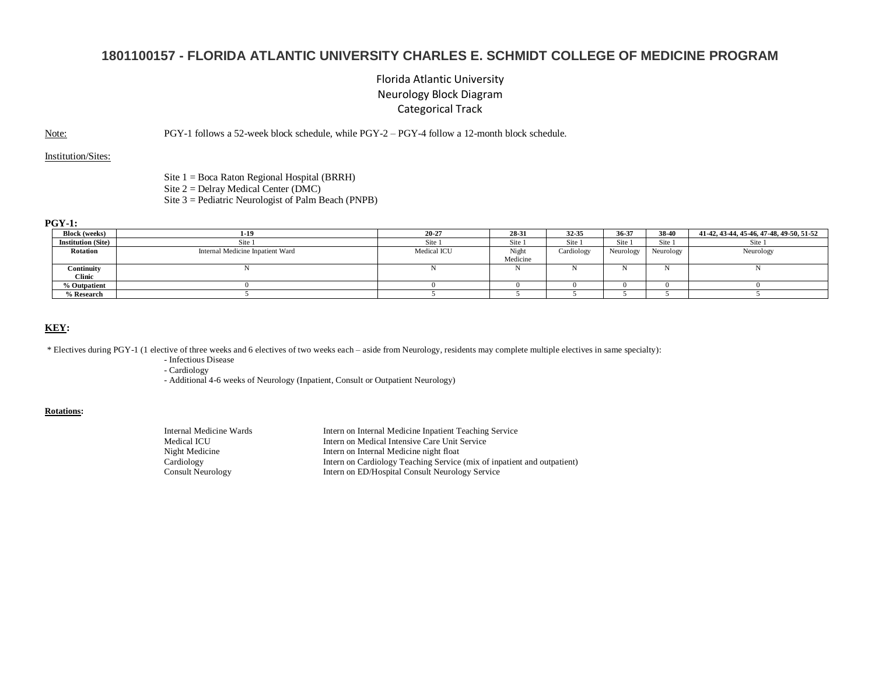# **1801100157 - FLORIDA ATLANTIC UNIVERSITY CHARLES E. SCHMIDT COLLEGE OF MEDICINE PROGRAM**

## Florida Atlantic University Neurology Block Diagram Categorical Track

Note: PGY-1 follows a 52-week block schedule, while PGY-2 – PGY-4 follow a 12-month block schedule.

Institution/Sites:

Site 1 = Boca Raton Regional Hospital (BRRH) Site  $2 =$  Delray Medical Center (DMC) Site 3 = Pediatric Neurologist of Palm Beach (PNPB)

#### **PGY-1:**

| <b>Block</b> (weeks)      | 1-19                             | 20-27       | 28-31    | 32 35      | 36-37     | 38-40     | 41-42, 43-44, 45-46, 47-48, 49-50, 51-52 |
|---------------------------|----------------------------------|-------------|----------|------------|-----------|-----------|------------------------------------------|
| <b>Institution (Site)</b> | Site                             | Site        | Site     | Site       | Site 1    | Site 1    | Site:                                    |
| Rotation                  | Internal Medicine Inpatient Ward | Medical ICU | Night    | Cardiology | Neurology | Neurology | Neurology                                |
|                           |                                  |             | Medicine |            |           |           |                                          |
| Continuity                |                                  |             |          |            |           |           |                                          |
| <b>Clinic</b>             |                                  |             |          |            |           |           |                                          |
| % Outpatient              |                                  |             |          |            |           |           |                                          |
| % Research                |                                  |             |          |            |           |           |                                          |

### **KEY:**

\* Electives during PGY-1 (1 elective of three weeks and 6 electives of two weeks each – aside from Neurology, residents may complete multiple electives in same specialty):

- Infectious Disease

- Cardiology

- Additional 4-6 weeks of Neurology (Inpatient, Consult or Outpatient Neurology)

### **Rotations:**

| Intern on Internal Medicine Inpatient Teaching Service                  |
|-------------------------------------------------------------------------|
| Intern on Medical Intensive Care Unit Service                           |
| Intern on Internal Medicine night float                                 |
| Intern on Cardiology Teaching Service (mix of inpatient and outpatient) |
| Intern on ED/Hospital Consult Neurology Service                         |
|                                                                         |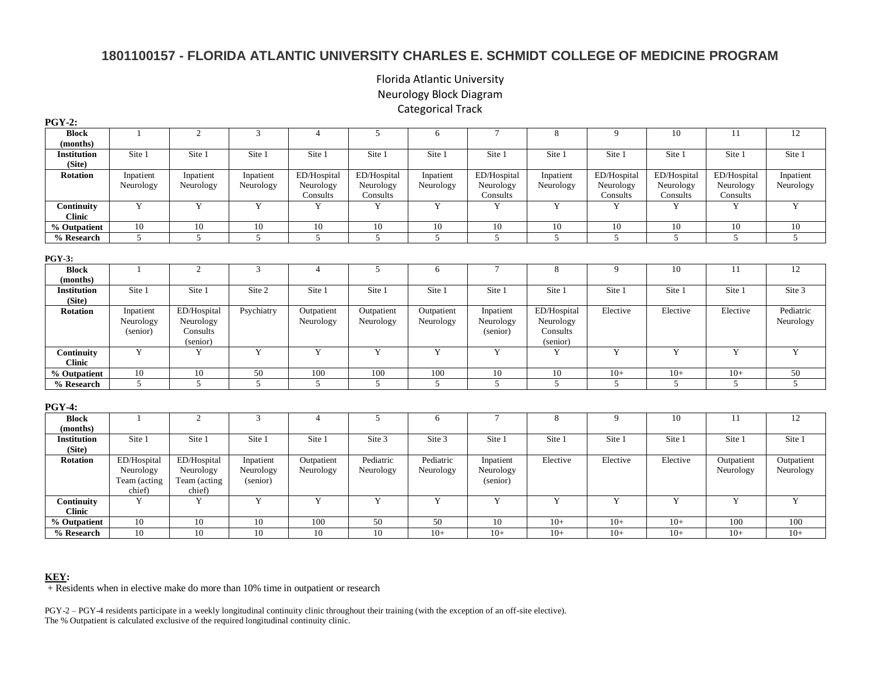# **1801100157 - FLORIDA ATLANTIC UNIVERSITY CHARLES E. SCHMIDT COLLEGE OF MEDICINE PROGRAM**

## Florida Atlantic University Neurology Block Diagram Categorical Track

| .                                   |                                                    |                                                    |                                    |                                      |                                      |                         |                                      |                                                  |                                      |                                      |                                      |                         |
|-------------------------------------|----------------------------------------------------|----------------------------------------------------|------------------------------------|--------------------------------------|--------------------------------------|-------------------------|--------------------------------------|--------------------------------------------------|--------------------------------------|--------------------------------------|--------------------------------------|-------------------------|
| <b>Block</b><br>(months)            |                                                    | 2                                                  | 3                                  | $\overline{4}$                       | 5                                    | 6                       | $\tau$                               | 8                                                | 9                                    | 10                                   | 11                                   | 12                      |
| <b>Institution</b><br>(Site)        | Site 1                                             | Site 1                                             | Site 1                             | Site 1                               | Site 1                               | Site 1                  | Site 1                               | Site 1                                           | Site 1                               | Site 1                               | Site 1                               | Site 1                  |
| <b>Rotation</b>                     | Inpatient<br>Neurology                             | Inpatient<br>Neurology                             | Inpatient<br>Neurology             | ED/Hospital<br>Neurology<br>Consults | ED/Hospital<br>Neurology<br>Consults | Inpatient<br>Neurology  | ED/Hospital<br>Neurology<br>Consults | Inpatient<br>Neurology                           | ED/Hospital<br>Neurology<br>Consults | ED/Hospital<br>Neurology<br>Consults | ED/Hospital<br>Neurology<br>Consults | Inpatient<br>Neurology  |
| Continuity<br><b>Clinic</b>         | Y                                                  | $\mathbf Y$                                        | $\mathbf Y$                        | Y                                    | Y                                    | Y                       | Y                                    | Y                                                | Y                                    | Y                                    | Y                                    | $\mathbf Y$             |
| $\sqrt[9]{\frac{6}{10}}$ Outpatient | 10                                                 | 10                                                 | 10                                 | 10                                   | 10                                   | 10                      | 10                                   | 10                                               | 10                                   | 10                                   | 10                                   | 10                      |
| % Research                          | 5                                                  | 5                                                  | 5                                  | 5                                    | 5                                    | 5                       | 5                                    | $5^{\circ}$                                      | 5                                    | 5                                    | 5                                    | 5 <sup>5</sup>          |
| PGY-3:                              |                                                    |                                                    |                                    |                                      |                                      |                         |                                      |                                                  |                                      |                                      |                                      |                         |
| <b>Block</b><br>(months)            |                                                    | 2                                                  | 3                                  | $\overline{4}$                       | 5                                    | 6                       | $\tau$                               | 8                                                | 9                                    | 10                                   | 11                                   | 12                      |
| <b>Institution</b><br>(Site)        | Site 1                                             | Site 1                                             | Site 2                             | Site 1                               | Site 1                               | Site 1                  | Site 1                               | Site 1                                           | Site 1                               | Site 1                               | Site 1                               | Site 3                  |
| <b>Rotation</b>                     | Inpatient<br>Neurology<br>(senior)                 | ED/Hospital<br>Neurology<br>Consults<br>(senior)   | Psychiatry                         | Outpatient<br>Neurology              | Outpatient<br>Neurology              | Outpatient<br>Neurology | Inpatient<br>Neurology<br>(senior)   | ED/Hospital<br>Neurology<br>Consults<br>(senior) | Elective                             | Elective                             | Elective                             | Pediatric<br>Neurology  |
| Continuity<br><b>Clinic</b>         | Y                                                  | Y                                                  | Y                                  | Y                                    | Y                                    | Y                       | Y                                    | Y                                                | Y                                    | Y                                    | Y                                    | Y                       |
| % Outpatient                        | $10\,$                                             | $10\,$                                             | 50                                 | 100                                  | $100\,$                              | 100                     | $10\,$                               | $10\,$                                           | $10+$                                | $10+$                                | $10+$                                | $50\,$                  |
| % Research                          | 5                                                  | $\overline{5}$                                     | $\overline{5}$                     | 5                                    | 5                                    | 5                       | $\overline{5}$                       | 5                                                | 5                                    | 5                                    | 5                                    | $\overline{5}$          |
| PGY-4:                              |                                                    |                                                    |                                    |                                      |                                      |                         |                                      |                                                  |                                      |                                      |                                      |                         |
| <b>Block</b><br>(months)            |                                                    | 2                                                  | 3                                  | $\overline{4}$                       | 5                                    | 6                       | $7\phantom{.0}$                      | 8                                                | 9                                    | 10                                   | 11                                   | 12                      |
| Institution<br>(Site)               | Site 1                                             | Site 1                                             | Site 1                             | Site 1                               | Site 3                               | Site 3                  | Site 1                               | Site 1                                           | Site 1                               | Site 1                               | Site 1                               | Site 1                  |
| <b>Rotation</b>                     | ED/Hospital<br>Neurology<br>Team (acting<br>chief) | ED/Hospital<br>Neurology<br>Team (acting<br>chief) | Inpatient<br>Neurology<br>(senior) | Outpatient<br>Neurology              | Pediatric<br>Neurology               | Pediatric<br>Neurology  | Inpatient<br>Neurology<br>(senior)   | Elective                                         | Elective                             | Elective                             | Outpatient<br>Neurology              | Outpatient<br>Neurology |
| Continuity<br><b>Clinic</b>         | Y                                                  | Y                                                  | Y                                  | Y                                    | Y                                    | Y                       | Y                                    | Y                                                | Y                                    | Y                                    | Y                                    | $\overline{Y}$          |
| $\sqrt[9]{\ }$ Outpatient           | 10                                                 | 10                                                 | 10                                 | 100                                  | 50                                   | 50                      | 10                                   | $10+$                                            | $10+$                                | $10+$                                | 100                                  | 100                     |
| % Research                          | 10                                                 | 10                                                 | 10                                 | 10                                   | 10                                   | $10+$                   | $10+$                                | $10+$                                            | $10+$                                | $10+$                                | $10+$                                | $10+$                   |

### **PGY-2:**

## **KEY:**

 $+$  Residents when in elective make do more than 10% time in outpatient or research

PGY-2 – PGY-4 residents participate in a weekly longitudinal continuity clinic throughout their training (with the exception of an off-site elective). The % Outpatient is calculated exclusive of the required longitudinal continuity clinic.